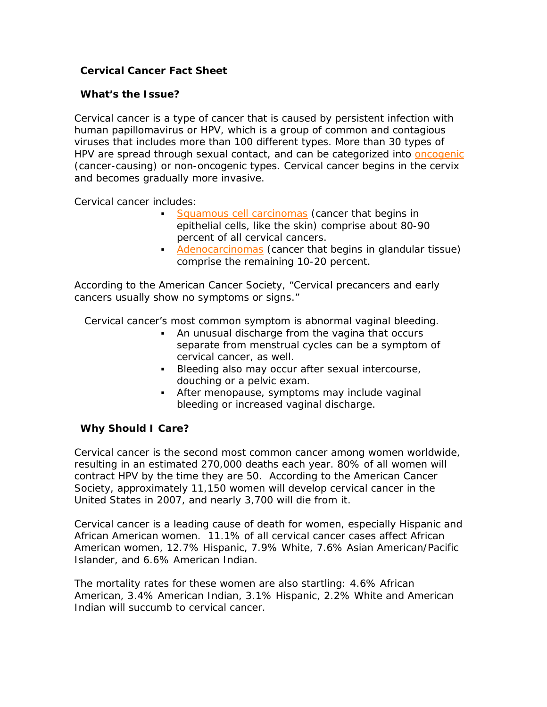# **Cervical Cancer Fact Sheet**

### **What's the Issue?**

Cervical cancer is a type of cancer that is caused by persistent infection with human papillomavirus or HPV, which is a group of common and contagious viruses that includes more than 100 different types. More than 30 types of HPV are spread through sexual contact, and can be categorized into [oncogenic](http://www.nocervicalcancer.org/hpv_cc_faqs.html#oncogenic#oncogenic) (cancer-causing) or non-oncogenic types. Cervical cancer begins in the cervix and becomes gradually more invasive.

Cervical cancer includes:

- **[Squamous cell carcinomas](http://www.nocervicalcancer.org/squamous) (cancer that begins in** epithelial cells, like the skin) comprise about 80-90 percent of all cervical cancers.
- [Adenocarcinomas](http://www.nocervicalcancer.org/hpv_cc_faqs.html#adenocarcinoma#adenocarcinoma) (cancer that begins in glandular tissue) comprise the remaining 10-20 percent.

According to the American Cancer Society, "Cervical precancers and early cancers usually show no symptoms or signs."

Cervical cancer's most common symptom is abnormal vaginal bleeding.

- An unusual discharge from the vagina that occurs separate from menstrual cycles can be a symptom of cervical cancer, as well.
- Bleeding also may occur after sexual intercourse, douching or a pelvic exam.
- After menopause, symptoms may include vaginal bleeding or increased vaginal discharge.

## **Why Should I Care?**

Cervical cancer is the second most common cancer among women worldwide, resulting in an estimated 270,000 deaths each year. 80% of all women will contract HPV by the time they are 50. According to the American Cancer Society, approximately 11,150 women will develop cervical cancer in the United States in 2007, and nearly 3,700 will die from it.

Cervical cancer is a leading cause of death for women, especially Hispanic and African American women. 11.1% of all cervical cancer cases affect African American women, 12.7% Hispanic, 7.9% White, 7.6% Asian American/Pacific Islander, and 6.6% American Indian.

The mortality rates for these women are also startling: 4.6% African American, 3.4% American Indian, 3.1% Hispanic, 2.2% White and American Indian will succumb to cervical cancer.